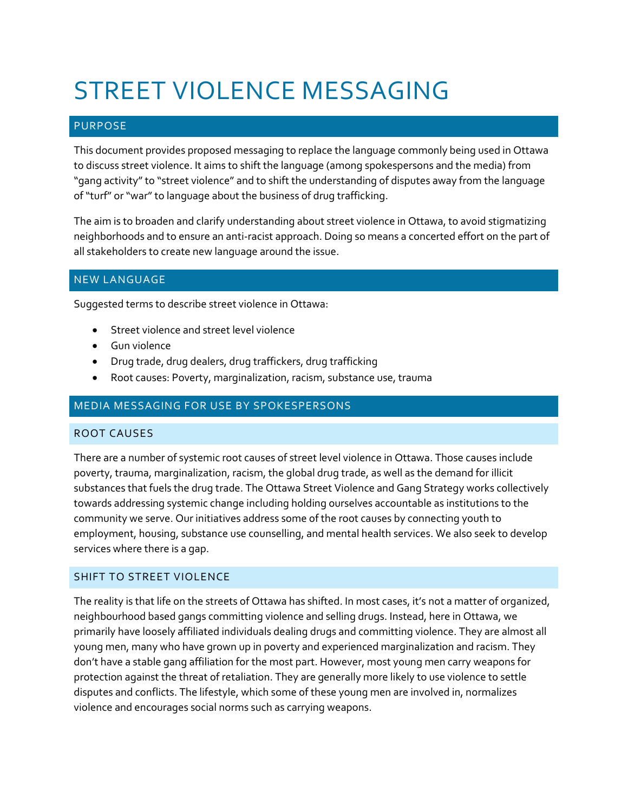# STREET VIOLENCE MESSAGING

# PURPOSE

This document provides proposed messaging to replace the language commonly being used in Ottawa to discuss street violence. It aims to shift the language (among spokespersons and the media) from "gang activity" to "street violence" and to shift the understanding of disputes away from the language of "turf" or "war" to language about the business of drug trafficking.

The aim is to broaden and clarify understanding about street violence in Ottawa, to avoid stigmatizing neighborhoods and to ensure an anti-racist approach. Doing so means a concerted effort on the part of all stakeholders to create new language around the issue.

# NEW LANGUAGE

Suggested terms to describe street violence in Ottawa:

- Street violence and street level violence
- Gun violence
- Drug trade, drug dealers, drug traffickers, drug trafficking
- Root causes: Poverty, marginalization, racism, substance use, trauma

## MEDIA MESSAGING FOR USE BY SPOKESPERSONS

#### ROOT CAUSES

There are a number of systemic root causes of street level violence in Ottawa. Those causes include poverty, trauma, marginalization, racism, the global drug trade, as well as the demand for illicit substances that fuels the drug trade. The Ottawa Street Violence and Gang Strategy works collectively towards addressing systemic change including holding ourselves accountable as institutions to the community we serve. Our initiatives address some of the root causes by connecting youth to employment, housing, substance use counselling, and mental health services. We also seek to develop services where there is a gap.

## SHIFT TO STREET VIOLENCE

The reality is that life on the streets of Ottawa has shifted. In most cases, it's not a matter of organized, neighbourhood based gangs committing violence and selling drugs. Instead, here in Ottawa, we primarily have loosely affiliated individuals dealing drugs and committing violence. They are almost all young men, many who have grown up in poverty and experienced marginalization and racism. They don't have a stable gang affiliation for the most part. However, most young men carry weapons for protection against the threat of retaliation. They are generally more likely to use violence to settle disputes and conflicts. The lifestyle, which some of these young men are involved in, normalizes violence and encourages social norms such as carrying weapons.